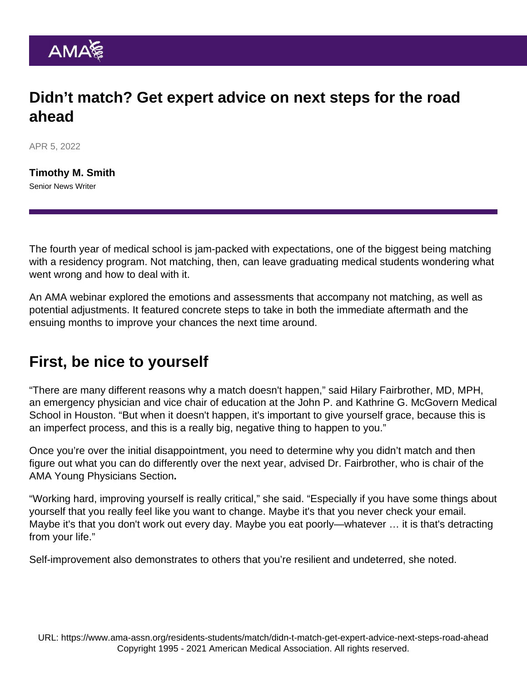## Didn't match? Get expert advice on next steps for the road ahead

APR 5, 2022

[Timothy M. Smith](https://www.ama-assn.org/news-leadership-viewpoints/authors-news-leadership-viewpoints/timothy-m-smith) Senior News Writer

The fourth year of medical school is jam-packed with expectations, one of the biggest being matching with a residency program. Not matching, then, can leave graduating medical students wondering what went wrong and how to deal with it.

An [AMA webinar](https://youtu.be/VTKLbdfdQjs) explored the emotions and assessments that accompany not matching, as well as potential adjustments. It featured concrete steps to take in both the immediate aftermath and the ensuing months to improve your chances the next time around.

## First, be nice to yourself

"There are many different reasons why a match doesn't happen," said Hilary Fairbrother, MD, MPH, an emergency physician and vice chair of education at the John P. and Kathrine G. McGovern Medical School in Houston. "But when it doesn't happen, it's important to give yourself grace, because this is an imperfect process, and this is a really big, negative thing to happen to you."

Once you're over the initial disappointment, you need to determine why you didn't match and then figure out what you can do differently over the next year, advised Dr. Fairbrother, who is chair of the [AMA Young Physicians Section](https://www.ama-assn.org/member-groups-sections/young-physicians).

"Working hard, improving yourself is really critical," she said. "Especially if you have some things about yourself that you really feel like you want to change. Maybe it's that you never check your email. Maybe it's that you don't work out every day. Maybe you eat poorly—whatever … it is that's detracting from your life."

Self-improvement also demonstrates to others that you're resilient and undeterred, she noted.